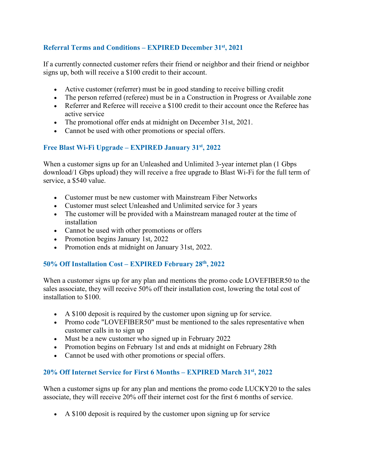# **Referral Terms and Conditions – EXPIRED December 31st, 2021**

If a currently connected customer refers their friend or neighbor and their friend or neighbor signs up, both will receive a \$100 credit to their account.

- Active customer (referrer) must be in good standing to receive billing credit
- The person referred (referee) must be in a Construction in Progress or Available zone
- Referrer and Referee will receive a \$100 credit to their account once the Referee has active service
- The promotional offer ends at midnight on December 31st, 2021.
- Cannot be used with other promotions or special offers.

## **Free Blast Wi-Fi Upgrade – EXPIRED January 31st, 2022**

When a customer signs up for an Unleashed and Unlimited 3-year internet plan (1 Gbps download/1 Gbps upload) they will receive a free upgrade to Blast Wi-Fi for the full term of service, a \$540 value.

- Customer must be new customer with Mainstream Fiber Networks
- Customer must select Unleashed and Unlimited service for 3 years
- The customer will be provided with a Mainstream managed router at the time of installation
- Cannot be used with other promotions or offers
- Promotion begins January 1st, 2022
- Promotion ends at midnight on January 31st, 2022.

### **50% Off Installation Cost – EXPIRED February 28th, 2022**

When a customer signs up for any plan and mentions the promo code LOVEFIBER50 to the sales associate, they will receive 50% off their installation cost, lowering the total cost of installation to \$100.

- A \$100 deposit is required by the customer upon signing up for service.
- Promo code "LOVEFIBER50" must be mentioned to the sales representative when customer calls in to sign up
- Must be a new customer who signed up in February 2022
- Promotion begins on February 1st and ends at midnight on February 28th
- Cannot be used with other promotions or special offers.

### **20% Off Internet Service for First 6 Months – EXPIRED March 31st, 2022**

When a customer signs up for any plan and mentions the promo code LUCKY20 to the sales associate, they will receive 20% off their internet cost for the first 6 months of service.

• A \$100 deposit is required by the customer upon signing up for service